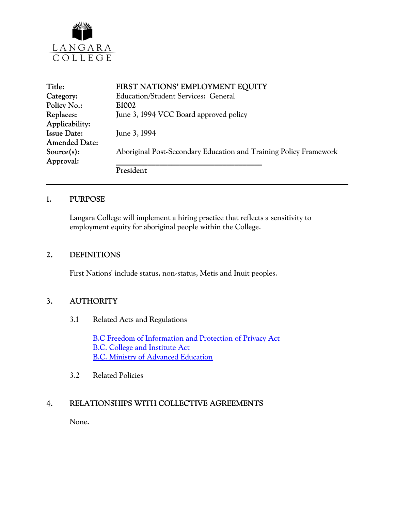

| Title:               | FIRST NATIONS' EMPLOYMENT EQUITY                                  |
|----------------------|-------------------------------------------------------------------|
| Category:            | <b>Education/Student Services: General</b>                        |
| Policy No.:          | E1002                                                             |
| Replaces:            | June 3, 1994 VCC Board approved policy                            |
| Applicability:       |                                                                   |
| <b>Issue Date:</b>   | June 3, 1994                                                      |
| <b>Amended Date:</b> |                                                                   |
| $Source(s)$ :        | Aboriginal Post-Secondary Education and Training Policy Framework |
| Approval:            |                                                                   |
|                      | President                                                         |

#### 1. PURPOSE

Langara College will implement a hiring practice that reflects a sensitivity to employment equity for aboriginal people within the College.

#### 2. DEFINITIONS

First Nations' include status, non-status, Metis and Inuit peoples.

#### 3. AUTHORITY

3.1 Related Acts and Regulations

[B.C Freedom of Information and Protection of Privacy Act](http://www.mser.gov.bc.ca/foi_pop/index_toc.htm) [B.C. College and Institute Act](http://www.qp.gov.bc.ca/statreg/stat/C/96052_01.htm) [B.C. Ministry of Advanced Education](http://www.gov.bc.ca/aved/)

3.2 Related Policies

### 4. RELATIONSHIPS WITH COLLECTIVE AGREEMENTS

None.